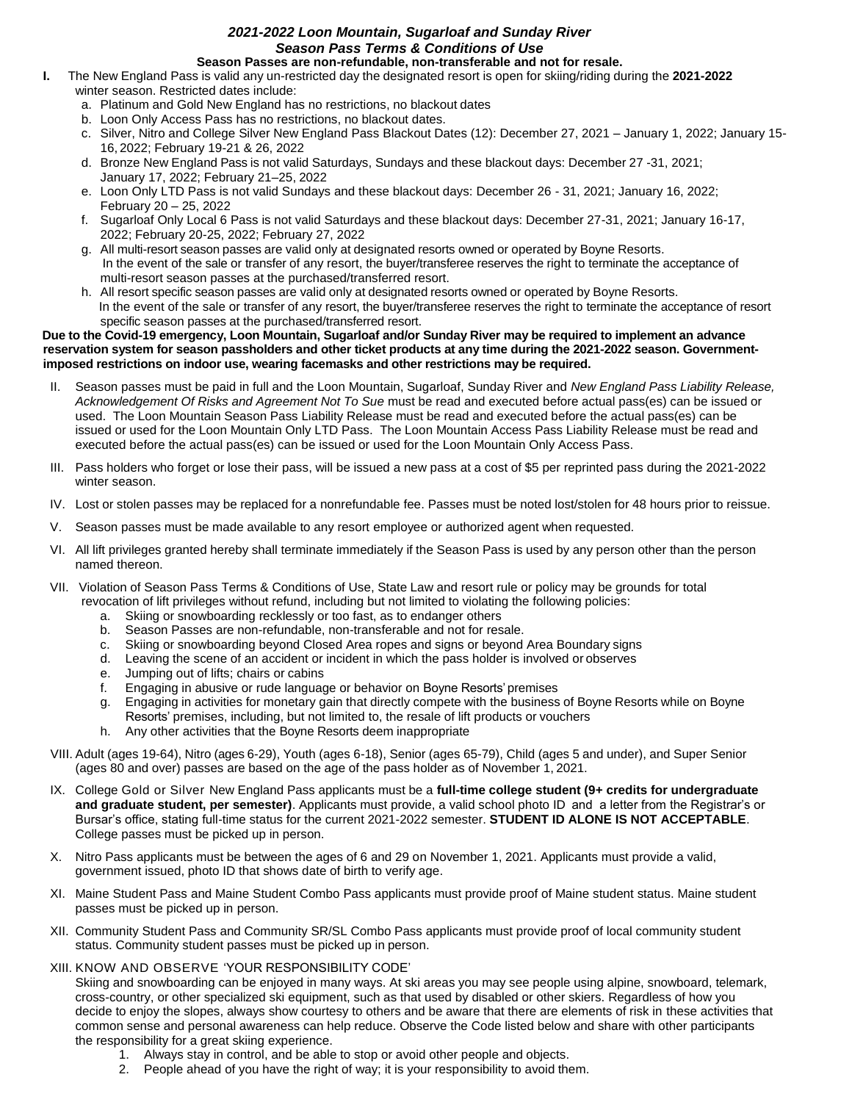## *2021-2022 Loon Mountain, Sugarloaf and Sunday River Season Pass Terms & Conditions of Use* **Season Passes are non-refundable, non-transferable and not for resale.**

- **I.** The New England Pass is valid any un-restricted day the designated resort is open for skiing/riding during the **2021-2022** winter season. Restricted dates include:
	- a. Platinum and Gold New England has no restrictions, no blackout dates
	- b. Loon Only Access Pass has no restrictions, no blackout dates.
	- c. Silver, Nitro and College Silver New England Pass Blackout Dates (12): December 27, 2021 January 1, 2022; January 15- 16, 2022; February 19-21 & 26, 2022
	- d. Bronze New England Pass is not valid Saturdays, Sundays and these blackout days: December 27 -31, 2021; January 17, 2022; February 21–25, 2022
	- e. Loon Only LTD Pass is not valid Sundays and these blackout days: December 26 31, 2021; January 16, 2022; February 20 – 25, 2022
	- f. Sugarloaf Only Local 6 Pass is not valid Saturdays and these blackout days: December 27-31, 2021; January 16-17, 2022; February 20-25, 2022; February 27, 2022
	- g. All multi-resort season passes are valid only at designated resorts owned or operated by Boyne Resorts. In the event of the sale or transfer of any resort, the buyer/transferee reserves the right to terminate the acceptance of multi-resort season passes at the purchased/transferred resort.
	- h. All resort specific season passes are valid only at designated resorts owned or operated by Boyne Resorts. In the event of the sale or transfer of any resort, the buyer/transferee reserves the right to terminate the acceptance of resort specific season passes at the purchased/transferred resort.

## **Due to the Covid-19 emergency, Loon Mountain, Sugarloaf and/or Sunday River may be required to implement an advance reservation system for season passholders and other ticket products at any time during the 2021-2022 season. Governmentimposed restrictions on indoor use, wearing facemasks and other restrictions may be required.**

- II. Season passes must be paid in full and the Loon Mountain, Sugarloaf, Sunday River and *New England Pass Liability Release, Acknowledgement Of Risks and Agreement Not To Sue* must be read and executed before actual pass(es) can be issued or used. The Loon Mountain Season Pass Liability Release must be read and executed before the actual pass(es) can be issued or used for the Loon Mountain Only LTD Pass. The Loon Mountain Access Pass Liability Release must be read and executed before the actual pass(es) can be issued or used for the Loon Mountain Only Access Pass.
- III. Pass holders who forget or lose their pass, will be issued a new pass at a cost of \$5 per reprinted pass during the 2021-2022 winter season.
- IV. Lost or stolen passes may be replaced for a nonrefundable fee. Passes must be noted lost/stolen for 48 hours prior to reissue.
- V. Season passes must be made available to any resort employee or authorized agent when requested.
- VI. All lift privileges granted hereby shall terminate immediately if the Season Pass is used by any person other than the person named thereon.
- VII. Violation of Season Pass Terms & Conditions of Use, State Law and resort rule or policy may be grounds for total revocation of lift privileges without refund, including but not limited to violating the following policies:
	- a. Skiing or snowboarding recklessly or too fast, as to endanger others
	- b. Season Passes are non-refundable, non-transferable and not for resale.
	- c. Skiing or snowboarding beyond Closed Area ropes and signs or beyond Area Boundary signs
	- d. Leaving the scene of an accident or incident in which the pass holder is involved or observes
	- e. Jumping out of lifts; chairs or cabins
	- f. Engaging in abusive or rude language or behavior on Boyne Resorts'premises
	- g. Engaging in activities for monetary gain that directly compete with the business of Boyne Resorts while on Boyne Resorts' premises, including, but not limited to, the resale of lift products or vouchers
	- h. Any other activities that the Boyne Resorts deem inappropriate
- VIII. Adult (ages 19-64), Nitro (ages 6-29), Youth (ages 6-18), Senior (ages 65-79), Child (ages 5 and under), and Super Senior (ages 80 and over) passes are based on the age of the pass holder as of November 1, 2021.
- IX. College Gold or Silver New England Pass applicants must be a **full-time college student (9+ credits for undergraduate and graduate student, per semester)**. Applicants must provide, a valid school photo ID and a letter from the Registrar's or Bursar's office, stating full-time status for the current 2021-2022 semester. **STUDENT ID ALONE IS NOT ACCEPTABLE**. College passes must be picked up in person.
- X. Nitro Pass applicants must be between the ages of 6 and 29 on November 1, 2021. Applicants must provide a valid, government issued, photo ID that shows date of birth to verify age.
- XI. Maine Student Pass and Maine Student Combo Pass applicants must provide proof of Maine student status. Maine student passes must be picked up in person.
- XII. Community Student Pass and Community SR/SL Combo Pass applicants must provide proof of local community student status. Community student passes must be picked up in person.
- XIII. KNOW AND OBSERVE 'YOUR RESPONSIBILITY CODE'

Skiing and snowboarding can be enjoyed in many ways. At ski areas you may see people using alpine, snowboard, telemark, cross-country, or other specialized ski equipment, such as that used by disabled or other skiers. Regardless of how you decide to enjoy the slopes, always show courtesy to others and be aware that there are elements of risk in these activities that common sense and personal awareness can help reduce. Observe the Code listed below and share with other participants the responsibility for a great skiing experience.

- 1. Always stay in control, and be able to stop or avoid other people and objects.
- 2. People ahead of you have the right of way; it is your responsibility to avoid them.